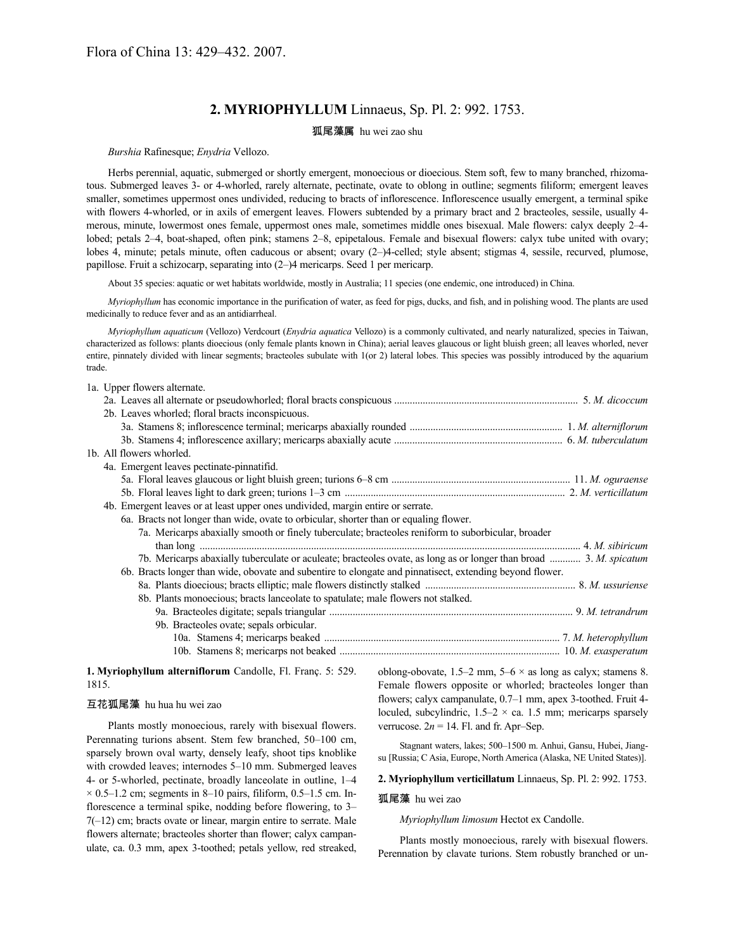# **2. MYRIOPHYLLUM** Linnaeus, Sp. Pl. 2: 992. 1753.

## 狐尾藻属 hu wei zao shu

## *Burshia* Rafinesque; *Enydria* Vellozo.

Herbs perennial, aquatic, submerged or shortly emergent, monoecious or dioecious. Stem soft, few to many branched, rhizomatous. Submerged leaves 3- or 4-whorled, rarely alternate, pectinate, ovate to oblong in outline; segments filiform; emergent leaves smaller, sometimes uppermost ones undivided, reducing to bracts of inflorescence. Inflorescence usually emergent, a terminal spike with flowers 4-whorled, or in axils of emergent leaves. Flowers subtended by a primary bract and 2 bracteoles, sessile, usually 4 merous, minute, lowermost ones female, uppermost ones male, sometimes middle ones bisexual. Male flowers: calyx deeply 2–4 lobed; petals 2–4, boat-shaped, often pink; stamens 2–8, epipetalous. Female and bisexual flowers: calyx tube united with ovary; lobes 4, minute; petals minute, often caducous or absent; ovary (2–)4-celled; style absent; stigmas 4, sessile, recurved, plumose, papillose. Fruit a schizocarp, separating into (2–)4 mericarps. Seed 1 per mericarp.

About 35 species: aquatic or wet habitats worldwide, mostly in Australia; 11 species (one endemic, one introduced) in China.

*Myriophyllum* has economic importance in the purification of water, as feed for pigs, ducks, and fish, and in polishing wood. The plants are used medicinally to reduce fever and as an antidiarrheal.

*Myriophyllum aquaticum* (Vellozo) Verdcourt (*Enydria aquatica* Vellozo) is a commonly cultivated, and nearly naturalized, species in Taiwan, characterized as follows: plants dioecious (only female plants known in China); aerial leaves glaucous or light bluish green; all leaves whorled, never entire, pinnately divided with linear segments; bracteoles subulate with 1(or 2) lateral lobes. This species was possibly introduced by the aquarium trade.

#### 1a. Upper flowers alternate.

| 2b. Leaves whorled; floral bracts inconspicuous.                                                                   |  |
|--------------------------------------------------------------------------------------------------------------------|--|
|                                                                                                                    |  |
|                                                                                                                    |  |
| 1b. All flowers whorled.                                                                                           |  |
| 4a. Emergent leaves pectinate-pinnatifid.                                                                          |  |
|                                                                                                                    |  |
|                                                                                                                    |  |
| 4b. Emergent leaves or at least upper ones undivided, margin entire or serrate.                                    |  |
| 6a. Bracts not longer than wide, ovate to orbicular, shorter than or equaling flower.                              |  |
| 7a. Mericarps abaxially smooth or finely tuberculate; bracteoles reniform to suborbicular, broader                 |  |
|                                                                                                                    |  |
| 7b. Mericarps abaxially tuberculate or aculeate; bracteoles ovate, as long as or longer than broad  3. M. spicatum |  |
| 6b. Bracts longer than wide, obovate and subentire to elongate and pinnatisect, extending beyond flower.           |  |
|                                                                                                                    |  |
| 8b. Plants monoecious; bracts lanceolate to spatulate; male flowers not stalked.                                   |  |
|                                                                                                                    |  |
| 9b. Bracteoles ovate; sepals orbicular.                                                                            |  |
|                                                                                                                    |  |
|                                                                                                                    |  |
|                                                                                                                    |  |

## **1. Myriophyllum alterniflorum** Candolle, Fl. Franç. 5: 529. 1815.

## 互花狐尾藻 hu hua hu wei zao

Plants mostly monoecious, rarely with bisexual flowers. Perennating turions absent. Stem few branched, 50–100 cm, sparsely brown oval warty, densely leafy, shoot tips knoblike with crowded leaves; internodes 5–10 mm. Submerged leaves 4- or 5-whorled, pectinate, broadly lanceolate in outline, 1–4  $\times$  0.5–1.2 cm; segments in 8–10 pairs, filiform, 0.5–1.5 cm. Inflorescence a terminal spike, nodding before flowering, to 3– 7(–12) cm; bracts ovate or linear, margin entire to serrate. Male flowers alternate; bracteoles shorter than flower; calyx campanulate, ca. 0.3 mm, apex 3-toothed; petals yellow, red streaked, oblong-obovate,  $1.5-2$  mm,  $5-6 \times$  as long as calyx; stamens 8. Female flowers opposite or whorled; bracteoles longer than flowers; calyx campanulate, 0.7–1 mm, apex 3-toothed. Fruit 4 loculed, subcylindric,  $1.5-2 \times$  ca. 1.5 mm; mericarps sparsely verrucose.  $2n = 14$ . Fl. and fr. Apr–Sep.

Stagnant waters, lakes; 500–1500 m. Anhui, Gansu, Hubei, Jiangsu [Russia; C Asia, Europe, North America (Alaska, NE United States)].

## **2. Myriophyllum verticillatum** Linnaeus, Sp. Pl. 2: 992. 1753.

#### 狐尾藻 hu wei zao

*Myriophyllum limosum* Hectot ex Candolle.

Plants mostly monoecious, rarely with bisexual flowers. Perennation by clavate turions. Stem robustly branched or un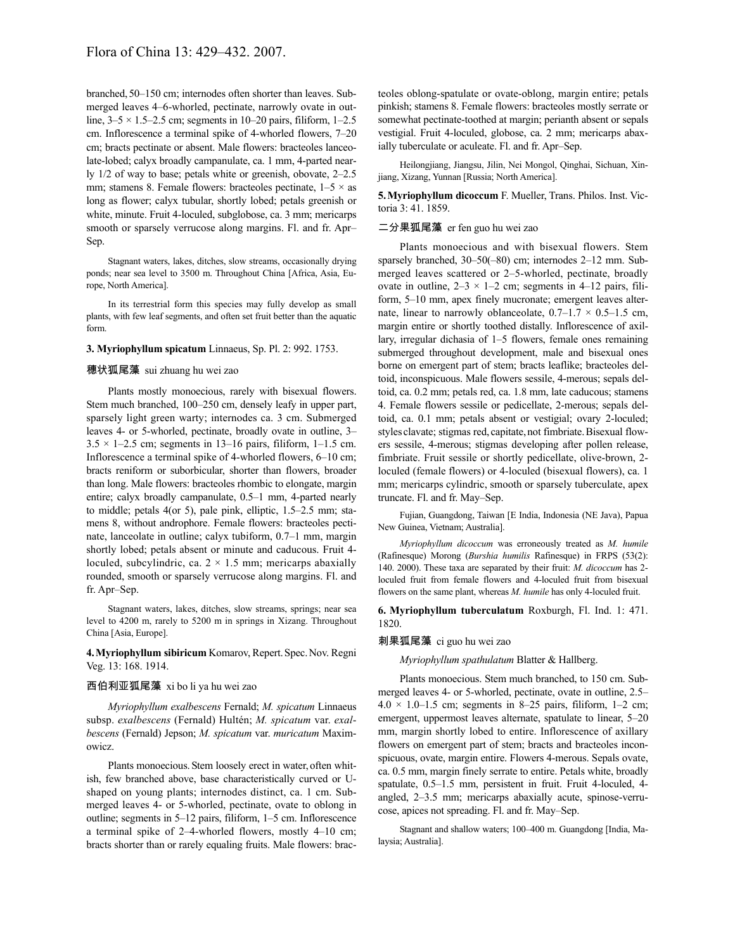branched, 50–150 cm; internodes often shorter than leaves. Submerged leaves 4–6-whorled, pectinate, narrowly ovate in outline,  $3-5 \times 1.5-2.5$  cm; segments in 10-20 pairs, filiform, 1-2.5 cm. Inflorescence a terminal spike of 4-whorled flowers, 7–20 cm; bracts pectinate or absent. Male flowers: bracteoles lanceolate-lobed; calyx broadly campanulate, ca. 1 mm, 4-parted nearly 1/2 of way to base; petals white or greenish, obovate, 2–2.5 mm; stamens 8. Female flowers: bracteoles pectinate,  $1-5 \times$  as long as flower; calyx tubular, shortly lobed; petals greenish or white, minute. Fruit 4-loculed, subglobose, ca. 3 mm; mericarps smooth or sparsely verrucose along margins. Fl. and fr. Apr– Sep.

Stagnant waters, lakes, ditches, slow streams, occasionally drying ponds; near sea level to 3500 m. Throughout China [Africa, Asia, Europe, North America].

In its terrestrial form this species may fully develop as small plants, with few leaf segments, and often set fruit better than the aquatic form.

## **3. Myriophyllum spicatum** Linnaeus, Sp. Pl. 2: 992. 1753.

## 穗状狐尾藻 sui zhuang hu wei zao

Plants mostly monoecious, rarely with bisexual flowers. Stem much branched, 100–250 cm, densely leafy in upper part, sparsely light green warty; internodes ca. 3 cm. Submerged leaves 4- or 5-whorled, pectinate, broadly ovate in outline, 3–  $3.5 \times 1-2.5$  cm; segments in 13-16 pairs, filiform, 1-1.5 cm. Inflorescence a terminal spike of 4-whorled flowers, 6–10 cm; bracts reniform or suborbicular, shorter than flowers, broader than long. Male flowers: bracteoles rhombic to elongate, margin entire; calyx broadly campanulate, 0.5–1 mm, 4-parted nearly to middle; petals 4(or 5), pale pink, elliptic, 1.5–2.5 mm; stamens 8, without androphore. Female flowers: bracteoles pectinate, lanceolate in outline; calyx tubiform, 0.7–1 mm, margin shortly lobed; petals absent or minute and caducous. Fruit 4 loculed, subcylindric, ca.  $2 \times 1.5$  mm; mericarps abaxially rounded, smooth or sparsely verrucose along margins. Fl. and fr. Apr–Sep.

Stagnant waters, lakes, ditches, slow streams, springs; near sea level to 4200 m, rarely to 5200 m in springs in Xizang. Throughout China [Asia, Europe].

## **4.Myriophyllum sibiricum** Komarov, Repert.Spec.Nov. Regni Veg. 13: 168. 1914.

## 西伯利亚狐尾藻 xi bo li ya hu wei zao

*Myriophyllum exalbescens* Fernald; *M. spicatum* Linnaeus subsp. *exalbescens* (Fernald) Hultén; *M. spicatum* var. *exalbescens* (Fernald) Jepson; *M. spicatum* var. *muricatum* Maximowicz.

Plants monoecious. Stem loosely erect in water, often whitish, few branched above, base characteristically curved or Ushaped on young plants; internodes distinct, ca. 1 cm. Submerged leaves 4- or 5-whorled, pectinate, ovate to oblong in outline; segments in 5–12 pairs, filiform, 1–5 cm. Inflorescence a terminal spike of 2–4-whorled flowers, mostly 4–10 cm; bracts shorter than or rarely equaling fruits. Male flowers: bracteoles oblong-spatulate or ovate-oblong, margin entire; petals pinkish; stamens 8. Female flowers: bracteoles mostly serrate or somewhat pectinate-toothed at margin; perianth absent or sepals vestigial. Fruit 4-loculed, globose, ca. 2 mm; mericarps abaxially tuberculate or aculeate. Fl. and fr. Apr–Sep.

Heilongjiang, Jiangsu, Jilin, Nei Mongol, Qinghai, Sichuan, Xinjiang, Xizang, Yunnan [Russia; North America].

**5.Myriophyllum dicoccum** F. Mueller, Trans. Philos. Inst. Victoria 3: 41. 1859.

#### 二分果狐尾藻 er fen guo hu wei zao

Plants monoecious and with bisexual flowers. Stem sparsely branched, 30–50(–80) cm; internodes 2–12 mm. Submerged leaves scattered or 2–5-whorled, pectinate, broadly ovate in outline,  $2-3 \times 1-2$  cm; segments in 4-12 pairs, filiform, 5–10 mm, apex finely mucronate; emergent leaves alternate, linear to narrowly oblanceolate,  $0.7-1.7 \times 0.5-1.5$  cm, margin entire or shortly toothed distally. Inflorescence of axillary, irregular dichasia of 1–5 flowers, female ones remaining submerged throughout development, male and bisexual ones borne on emergent part of stem; bracts leaflike; bracteoles deltoid, inconspicuous. Male flowers sessile, 4-merous; sepals deltoid, ca. 0.2 mm; petals red, ca. 1.8 mm, late caducous; stamens 4. Female flowers sessile or pedicellate, 2-merous; sepals deltoid, ca. 0.1 mm; petals absent or vestigial; ovary 2-loculed; styles clavate; stigmas red, capitate, not fimbriate. Bisexual flowers sessile, 4-merous; stigmas developing after pollen release, fimbriate. Fruit sessile or shortly pedicellate, olive-brown, 2 loculed (female flowers) or 4-loculed (bisexual flowers), ca. 1 mm; mericarps cylindric, smooth or sparsely tuberculate, apex truncate. Fl. and fr. May–Sep.

Fujian, Guangdong, Taiwan [E India, Indonesia (NE Java), Papua New Guinea, Vietnam; Australia].

*Myriophyllum dicoccum* was erroneously treated as *M. humile* (Rafinesque) Morong (*Burshia humilis* Rafinesque) in FRPS (53(2): 140. 2000). These taxa are separated by their fruit: *M. dicoccum* has 2 loculed fruit from female flowers and 4-loculed fruit from bisexual flowers on the same plant, whereas *M. humile* has only 4-loculed fruit.

**6. Myriophyllum tuberculatum** Roxburgh, Fl. Ind. 1: 471. 1820.

#### 刺果狐尾藻 ci guo hu wei zao

*Myriophyllum spathulatum* Blatter & Hallberg.

Plants monoecious. Stem much branched, to 150 cm. Submerged leaves 4- or 5-whorled, pectinate, ovate in outline, 2.5–  $4.0 \times 1.0 - 1.5$  cm; segments in 8–25 pairs, filiform, 1–2 cm; emergent, uppermost leaves alternate, spatulate to linear, 5–20 mm, margin shortly lobed to entire. Inflorescence of axillary flowers on emergent part of stem; bracts and bracteoles inconspicuous, ovate, margin entire. Flowers 4-merous. Sepals ovate, ca. 0.5 mm, margin finely serrate to entire. Petals white, broadly spatulate, 0.5–1.5 mm, persistent in fruit. Fruit 4-loculed, 4 angled, 2–3.5 mm; mericarps abaxially acute, spinose-verrucose, apices not spreading. Fl. and fr. May–Sep.

Stagnant and shallow waters; 100–400 m. Guangdong [India, Malaysia; Australia].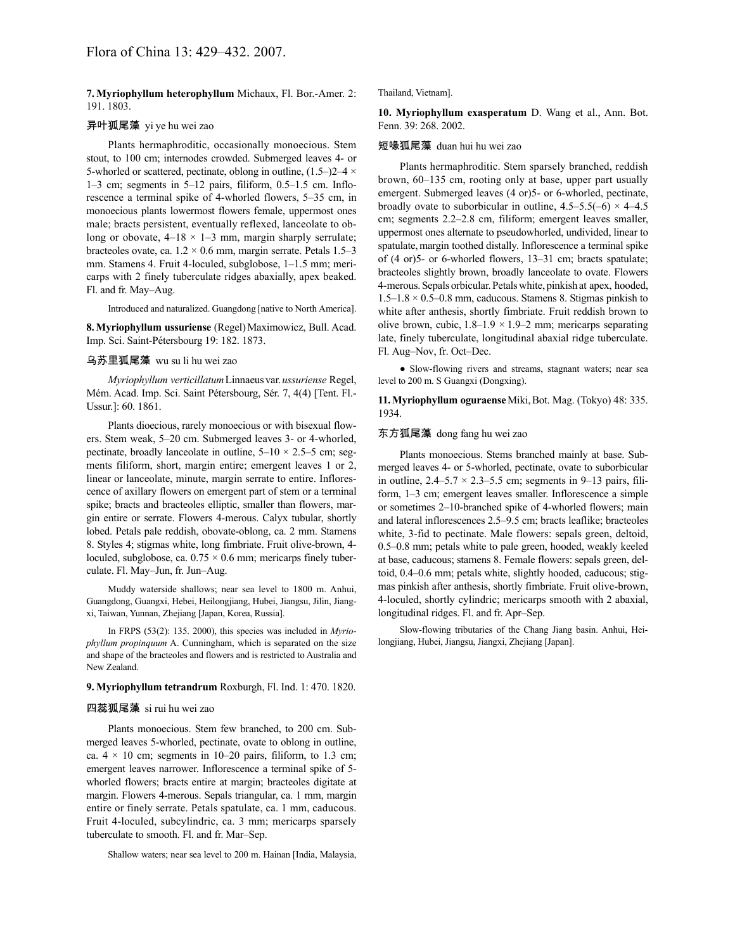**7. Myriophyllum heterophyllum** Michaux, Fl. Bor.-Amer. 2: 191. 1803.

## 异叶狐尾藻 yi ye hu wei zao

Plants hermaphroditic, occasionally monoecious. Stem stout, to 100 cm; internodes crowded. Submerged leaves 4- or 5-whorled or scattered, pectinate, oblong in outline,  $(1.5-2)2-4 \times$ 1–3 cm; segments in 5–12 pairs, filiform, 0.5–1.5 cm. Inflorescence a terminal spike of 4-whorled flowers, 5–35 cm, in monoecious plants lowermost flowers female, uppermost ones male; bracts persistent, eventually reflexed, lanceolate to oblong or obovate,  $4-18 \times 1-3$  mm, margin sharply serrulate; bracteoles ovate, ca.  $1.2 \times 0.6$  mm, margin serrate. Petals 1.5–3 mm. Stamens 4. Fruit 4-loculed, subglobose, 1–1.5 mm; mericarps with 2 finely tuberculate ridges abaxially, apex beaked. Fl. and fr. May–Aug.

Introduced and naturalized. Guangdong [native to North America].

**8.Myriophyllum ussuriense** (Regel)Maximowicz, Bull. Acad. Imp. Sci. Saint-Pétersbourg 19: 182. 1873.

#### 乌苏里狐尾藻 wu su li hu wei zao

*Myriophyllum verticillatum*Linnaeusvar.*ussuriense* Regel, Mém. Acad. Imp. Sci. Saint Pétersbourg, Sér. 7, 4(4) [Tent. Fl.- Ussur.]: 60. 1861.

Plants dioecious, rarely monoecious or with bisexual flowers. Stem weak, 5–20 cm. Submerged leaves 3- or 4-whorled, pectinate, broadly lanceolate in outline,  $5-10 \times 2.5-5$  cm; segments filiform, short, margin entire; emergent leaves 1 or 2, linear or lanceolate, minute, margin serrate to entire. Inflorescence of axillary flowers on emergent part of stem or a terminal spike; bracts and bracteoles elliptic, smaller than flowers, margin entire or serrate. Flowers 4-merous. Calyx tubular, shortly lobed. Petals pale reddish, obovate-oblong, ca. 2 mm. Stamens 8. Styles 4; stigmas white, long fimbriate. Fruit olive-brown, 4 loculed, subglobose, ca.  $0.75 \times 0.6$  mm; mericarps finely tuberculate. Fl. May–Jun, fr. Jun–Aug.

Muddy waterside shallows; near sea level to 1800 m. Anhui, Guangdong, Guangxi, Hebei, Heilongjiang, Hubei, Jiangsu, Jilin, Jiangxi, Taiwan, Yunnan, Zhejiang [Japan, Korea, Russia].

In FRPS (53(2): 135. 2000), this species was included in *Myriophyllum propinquum* A. Cunningham, which is separated on the size and shape of the bracteoles and flowers and is restricted to Australia and New Zealand.

#### **9. Myriophyllum tetrandrum** Roxburgh, Fl. Ind. 1: 470. 1820.

#### 四蕊狐尾藻 si rui hu wei zao

Plants monoecious. Stem few branched, to 200 cm. Submerged leaves 5-whorled, pectinate, ovate to oblong in outline, ca.  $4 \times 10$  cm; segments in 10–20 pairs, filiform, to 1.3 cm; emergent leaves narrower. Inflorescence a terminal spike of 5 whorled flowers; bracts entire at margin; bracteoles digitate at margin. Flowers 4-merous. Sepals triangular, ca. 1 mm, margin entire or finely serrate. Petals spatulate, ca. 1 mm, caducous. Fruit 4-loculed, subcylindric, ca. 3 mm; mericarps sparsely tuberculate to smooth. Fl. and fr. Mar–Sep.

Shallow waters; near sea level to 200 m. Hainan [India, Malaysia,

Thailand, Vietnam].

**10. Myriophyllum exasperatum** D. Wang et al., Ann. Bot. Fenn. 39: 268. 2002.

#### 短喙狐尾藻 duan hui hu wei zao

Plants hermaphroditic. Stem sparsely branched, reddish brown, 60–135 cm, rooting only at base, upper part usually emergent. Submerged leaves (4 or)5- or 6-whorled, pectinate, broadly ovate to suborbicular in outline,  $4.5-5.5(-6) \times 4-4.5$ cm; segments 2.2–2.8 cm, filiform; emergent leaves smaller, uppermost ones alternate to pseudowhorled, undivided, linear to spatulate, margin toothed distally. Inflorescence a terminal spike of (4 or)5- or 6-whorled flowers, 13–31 cm; bracts spatulate; bracteoles slightly brown, broadly lanceolate to ovate. Flowers 4-merous.Sepals orbicular.Petalswhite, pinkish at apex, hooded,  $1.5-1.8 \times 0.5-0.8$  mm, caducous. Stamens 8. Stigmas pinkish to white after anthesis, shortly fimbriate. Fruit reddish brown to olive brown, cubic,  $1.8-1.9 \times 1.9-2$  mm; mericarps separating late, finely tuberculate, longitudinal abaxial ridge tuberculate. Fl. Aug–Nov, fr. Oct–Dec.

● Slow-flowing rivers and streams, stagnant waters; near sea level to 200 m. S Guangxi (Dongxing).

**11.Myriophyllum oguraense**Miki,Bot. Mag. (Tokyo) 48: 335. 1934.

## 东方狐尾藻 dong fang hu wei zao

Plants monoecious. Stems branched mainly at base. Submerged leaves 4- or 5-whorled, pectinate, ovate to suborbicular in outline,  $2.4 - 5.7 \times 2.3 - 5.5$  cm; segments in 9-13 pairs, filiform, 1–3 cm; emergent leaves smaller. Inflorescence a simple or sometimes 2–10-branched spike of 4-whorled flowers; main and lateral inflorescences 2.5–9.5 cm; bracts leaflike; bracteoles white, 3-fid to pectinate. Male flowers: sepals green, deltoid, 0.5–0.8 mm; petals white to pale green, hooded, weakly keeled at base, caducous; stamens 8. Female flowers: sepals green, deltoid, 0.4–0.6 mm; petals white, slightly hooded, caducous; stigmas pinkish after anthesis, shortly fimbriate. Fruit olive-brown, 4-loculed, shortly cylindric; mericarps smooth with 2 abaxial, longitudinal ridges. Fl. and fr. Apr–Sep.

Slow-flowing tributaries of the Chang Jiang basin. Anhui, Heilongjiang, Hubei, Jiangsu, Jiangxi, Zhejiang [Japan].